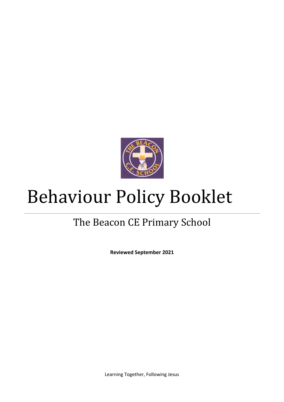

# Behaviour Policy Booklet

# The Beacon CE Primary School

**Reviewed September 2021**

Learning Together, Following Jesus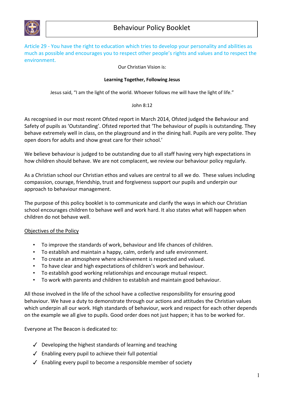

Article 29 - You have the right to education which tries to develop your personality and abilities as much as possible and encourages you to respect other people's rights and values and to respect the environment.

Our Christian Vision is:

#### **Learning Together, Following Jesus**

Jesus said, "I am the light of the world. Whoever follows me will have the light of life."

#### John 8:12

As recognised in our most recent Ofsted report in March 2014, Ofsted judged the Behaviour and Safety of pupils as 'Outstanding'. Ofsted reported that 'The behaviour of pupils is outstanding. They behave extremely well in class, on the playground and in the dining hall. Pupils are very polite. They open doors for adults and show great care for their school.'

We believe behaviour is judged to be outstanding due to all staff having very high expectations in how children should behave. We are not complacent, we review our behaviour policy regularly.

As a Christian school our Christian ethos and values are central to all we do. These values including compassion, courage, friendship, trust and forgiveness support our pupils and underpin our approach to behaviour management.

The purpose of this policy booklet is to communicate and clarify the ways in which our Christian school encourages children to behave well and work hard. It also states what will happen when children do not behave well.

# Objectives of the Policy

- To improve the standards of work, behaviour and life chances of children.
- To establish and maintain a happy, calm, orderly and safe environment.
- To create an atmosphere where achievement is respected and valued.
- To have clear and high expectations of children's work and behaviour.
- To establish good working relationships and encourage mutual respect.
- To work with parents and children to establish and maintain good behaviour.

All those involved in the life of the school have a collective responsibility for ensuring good behaviour. We have a duty to demonstrate through our actions and attitudes the Christian values which underpin all our work. High standards of behaviour, work and respect for each other depends on the example we all give to pupils. Good order does not just happen; it has to be worked for.

Everyone at The Beacon is dedicated to:

- $\checkmark$  Developing the highest standards of learning and teaching
- $\checkmark$  Enabling every pupil to achieve their full potential
- ✓ Enabling every pupil to become a responsible member of society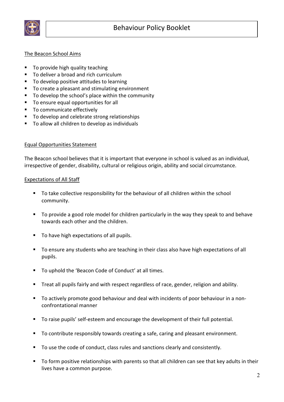

# The Beacon School Aims

- To provide high quality teaching
- § To deliver a broad and rich curriculum
- § To develop positive attitudes to learning
- To create a pleasant and stimulating environment
- § To develop the school's place within the community
- § To ensure equal opportunities for all
- To communicate effectively
- § To develop and celebrate strong relationships
- To allow all children to develop as individuals

#### Equal Opportunities Statement

The Beacon school believes that it is important that everyone in school is valued as an individual, irrespective of gender, disability, cultural or religious origin, ability and social circumstance.

#### Expectations of All Staff

- To take collective responsibility for the behaviour of all children within the school community.
- § To provide a good role model for children particularly in the way they speak to and behave towards each other and the children.
- To have high expectations of all pupils.
- § To ensure any students who are teaching in their class also have high expectations of all pupils.
- To uphold the 'Beacon Code of Conduct' at all times.
- Treat all pupils fairly and with respect regardless of race, gender, religion and ability.
- To actively promote good behaviour and deal with incidents of poor behaviour in a nonconfrontational manner
- To raise pupils' self-esteem and encourage the development of their full potential.
- To contribute responsibly towards creating a safe, caring and pleasant environment.
- To use the code of conduct, class rules and sanctions clearly and consistently.
- To form positive relationships with parents so that all children can see that key adults in their lives have a common purpose.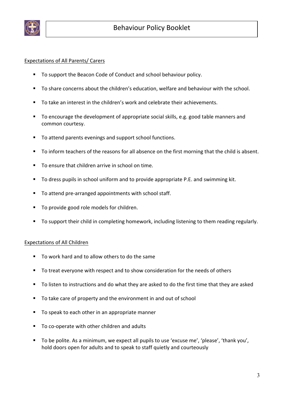

# Expectations of All Parents/ Carers

- To support the Beacon Code of Conduct and school behaviour policy.
- To share concerns about the children's education, welfare and behaviour with the school.
- To take an interest in the children's work and celebrate their achievements.
- To encourage the development of appropriate social skills, e.g. good table manners and common courtesy.
- To attend parents evenings and support school functions.
- To inform teachers of the reasons for all absence on the first morning that the child is absent.
- To ensure that children arrive in school on time.
- To dress pupils in school uniform and to provide appropriate P.E. and swimming kit.
- To attend pre-arranged appointments with school staff.
- To provide good role models for children.
- To support their child in completing homework, including listening to them reading regularly.

# Expectations of All Children

- To work hard and to allow others to do the same
- To treat everyone with respect and to show consideration for the needs of others
- To listen to instructions and do what they are asked to do the first time that they are asked
- To take care of property and the environment in and out of school
- To speak to each other in an appropriate manner
- To co-operate with other children and adults
- To be polite. As a minimum, we expect all pupils to use 'excuse me', 'please', 'thank you', hold doors open for adults and to speak to staff quietly and courteously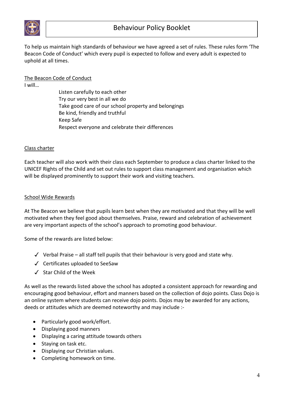

To help us maintain high standards of behaviour we have agreed a set of rules. These rules form 'The Beacon Code of Conduct' which every pupil is expected to follow and every adult is expected to uphold at all times.

# The Beacon Code of Conduct

I will…

Listen carefully to each other Try our very best in all we do Take good care of our school property and belongings Be kind, friendly and truthful Keep Safe Respect everyone and celebrate their differences

# Class charter

Each teacher will also work with their class each September to produce a class charter linked to the UNICEF Rights of the Child and set out rules to support class management and organisation which will be displayed prominently to support their work and visiting teachers.

# School Wide Rewards

At The Beacon we believe that pupils learn best when they are motivated and that they will be well motivated when they feel good about themselves. Praise, reward and celebration of achievement are very important aspects of the school's approach to promoting good behaviour.

Some of the rewards are listed below:

- $\checkmark$  Verbal Praise all staff tell pupils that their behaviour is very good and state why.
- ✓ Certificates uploaded to SeeSaw
- ✓ Star Child of the Week

As well as the rewards listed above the school has adopted a consistent approach for rewarding and encouraging good behaviour, effort and manners based on the collection of dojo points. Class Dojo is an online system where students can receive dojo points. Dojos may be awarded for any actions, deeds or attitudes which are deemed noteworthy and may include :-

- Particularly good work/effort.
- Displaying good manners
- Displaying a caring attitude towards others
- Staying on task etc.
- Displaying our Christian values.
- Completing homework on time.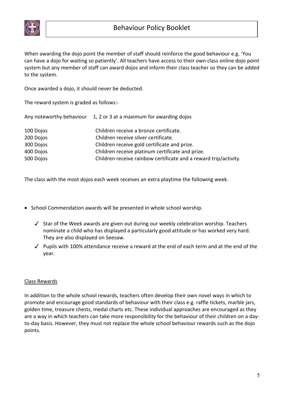

When awarding the dojo point the member of staff should reinforce the good behaviour e.g. 'You can have a dojo for waiting so patiently'. All teachers have access to their own class online dojo point system but any member of staff can award dojos and inform their class teacher so they can be added to the system.

Once awarded a dojo, it should never be deducted.

The reward system is graded as follows:-

| Any noteworthy behaviour | 1, 2 or 3 at a maximum for awarding dojos                        |
|--------------------------|------------------------------------------------------------------|
| 100 Dojos                | Children receive a bronze certificate.                           |
| 200 Dojos                | Children receive silver certificate.                             |
| 300 Dojos                | Children receive gold certificate and prize.                     |
| 400 Dojos                | Children receive platinum certificate and prize.                 |
| 500 Dojos                | Children receive rainbow certificate and a reward trip/activity. |

The class with the most dojos each week receives an extra playtime the following week.

- School Commendation awards will be presented in whole school worship.
	- ✓ Star of the Week awards are given out during our weekly celebration worship. Teachers nominate a child who has displayed a particularly good attitude or has worked very hard. They are also displayed on Seesaw.
	- ✓ Pupils with 100% attendance receive a reward at the end of each term and at the end of the year.

# Class Rewards

In addition to the whole school rewards, teachers often develop their own novel ways in which to promote and encourage good standards of behaviour with their class e.g. raffle tickets, marble jars, golden time, treasure chests, medal charts etc. These individual approaches are encouraged as they are a way in which teachers can take more responsibility for the behaviour of their children on a dayto-day basis. However, they must not replace the whole school behaviour rewards such as the dojo points.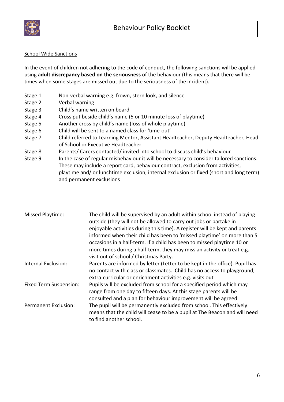

# School Wide Sanctions

In the event of children not adhering to the code of conduct, the following sanctions will be applied using **adult discrepancy based on the seriousness** of the behaviour (this means that there will be times when some stages are missed out due to the seriousness of the incident).

- Stage 1 Non-verbal warning e.g. frown, stern look, and silence
- Stage 2 Verbal warning
- Stage 3 Child's name written on board
- Stage 4 Cross put beside child's name (5 or 10 minute loss of playtime)
- Stage 5 Another cross by child's name (loss of whole playtime)
- Stage 6 Child will be sent to a named class for 'time-out'
- Stage 7 Child referred to Learning Mentor, Assistant Headteacher, Deputy Headteacher, Head of School or Executive Headteacher
- Stage 8 Parents/ Carers contacted/ invited into school to discuss child's behaviour
- Stage 9 In the case of regular misbehaviour it will be necessary to consider tailored sanctions. These may include a report card, behaviour contract, exclusion from activities, playtime and/ or lunchtime exclusion, internal exclusion or fixed (short and long term) and permanent exclusions

| Missed Playtime:              | The child will be supervised by an adult within school instead of playing<br>outside (they will not be allowed to carry out jobs or partake in<br>enjoyable activities during this time). A register will be kept and parents<br>informed when their child has been to 'missed playtime' on more than 5<br>occasions in a half-term. If a child has been to missed playtime 10 or<br>more times during a half-term, they may miss an activity or treat e.g.<br>visit out of school / Christmas Party. |
|-------------------------------|-------------------------------------------------------------------------------------------------------------------------------------------------------------------------------------------------------------------------------------------------------------------------------------------------------------------------------------------------------------------------------------------------------------------------------------------------------------------------------------------------------|
| Internal Exclusion:           | Parents are informed by letter (Letter to be kept in the office). Pupil has<br>no contact with class or classmates. Child has no access to playground,<br>extra-curricular or enrichment activities e.g. visits out                                                                                                                                                                                                                                                                                   |
| <b>Fixed Term Suspension:</b> | Pupils will be excluded from school for a specified period which may<br>range from one day to fifteen days. At this stage parents will be<br>consulted and a plan for behaviour improvement will be agreed.                                                                                                                                                                                                                                                                                           |
| <b>Permanent Exclusion:</b>   | The pupil will be permanently excluded from school. This effectively<br>means that the child will cease to be a pupil at The Beacon and will need<br>to find another school.                                                                                                                                                                                                                                                                                                                          |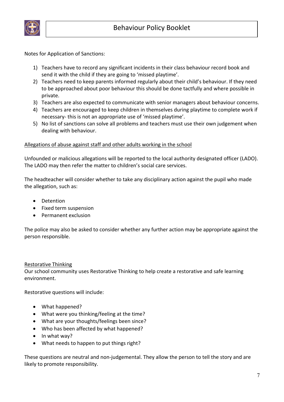

Notes for Application of Sanctions:

- 1) Teachers have to record any significant incidents in their class behaviour record book and send it with the child if they are going to 'missed playtime'.
- 2) Teachers need to keep parents informed regularly about their child's behaviour. If they need to be approached about poor behaviour this should be done tactfully and where possible in private.
- 3) Teachers are also expected to communicate with senior managers about behaviour concerns.
- 4) Teachers are encouraged to keep children in themselves during playtime to complete work if necessary- this is not an appropriate use of 'missed playtime'.
- 5) No list of sanctions can solve all problems and teachers must use their own judgement when dealing with behaviour.

#### Allegations of abuse against staff and other adults working in the school

Unfounded or malicious allegations will be reported to the local authority designated officer (LADO). The LADO may then refer the matter to children's social care services.

The headteacher will consider whether to take any disciplinary action against the pupil who made the allegation, such as:

- Detention
- Fixed term suspension
- Permanent exclusion

The police may also be asked to consider whether any further action may be appropriate against the person responsible.

#### Restorative Thinking

Our school community uses Restorative Thinking to help create a restorative and safe learning environment.

Restorative questions will include:

- What happened?
- What were you thinking/feeling at the time?
- What are your thoughts/feelings been since?
- Who has been affected by what happened?
- In what way?
- What needs to happen to put things right?

These questions are neutral and non-judgemental. They allow the person to tell the story and are likely to promote responsibility.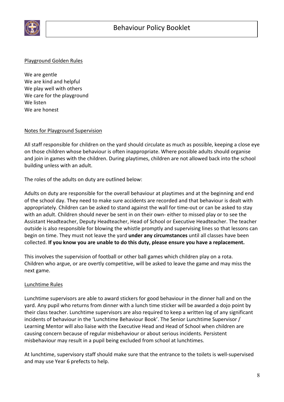

# Playground Golden Rules

We are gentle We are kind and helpful We play well with others We care for the playground We listen We are honest

# Notes for Playground Supervision

All staff responsible for children on the yard should circulate as much as possible, keeping a close eye on those children whose behaviour is often inappropriate. Where possible adults should organise and join in games with the children. During playtimes, children are not allowed back into the school building unless with an adult.

The roles of the adults on duty are outlined below:

Adults on duty are responsible for the overall behaviour at playtimes and at the beginning and end of the school day. They need to make sure accidents are recorded and that behaviour is dealt with appropriately. Children can be asked to stand against the wall for time-out or can be asked to stay with an adult. Children should never be sent in on their own- either to missed play or to see the Assistant Headteacher, Deputy Headteacher, Head of School or Executive Headteacher. The teacher outside is also responsible for blowing the whistle promptly and supervising lines so that lessons can begin on time. They must not leave the yard **under any circumstances** until all classes have been collected. **If you know you are unable to do this duty, please ensure you have a replacement.** 

This involves the supervision of football or other ball games which children play on a rota. Children who argue, or are overtly competitive, will be asked to leave the game and may miss the next game.

# Lunchtime Rules

Lunchtime supervisors are able to award stickers for good behaviour in the dinner hall and on the yard. Any pupil who returns from dinner with a lunch time sticker will be awarded a dojo point by their class teacher. Lunchtime supervisors are also required to keep a written log of any significant incidents of behaviour in the 'Lunchtime Behaviour Book'. The Senior Lunchtime Supervisor / Learning Mentor will also liaise with the Executive Head and Head of School when children are causing concern because of regular misbehaviour or about serious incidents. Persistent misbehaviour may result in a pupil being excluded from school at lunchtimes.

At lunchtime, supervisory staff should make sure that the entrance to the toilets is well-supervised and may use Year 6 prefects to help.